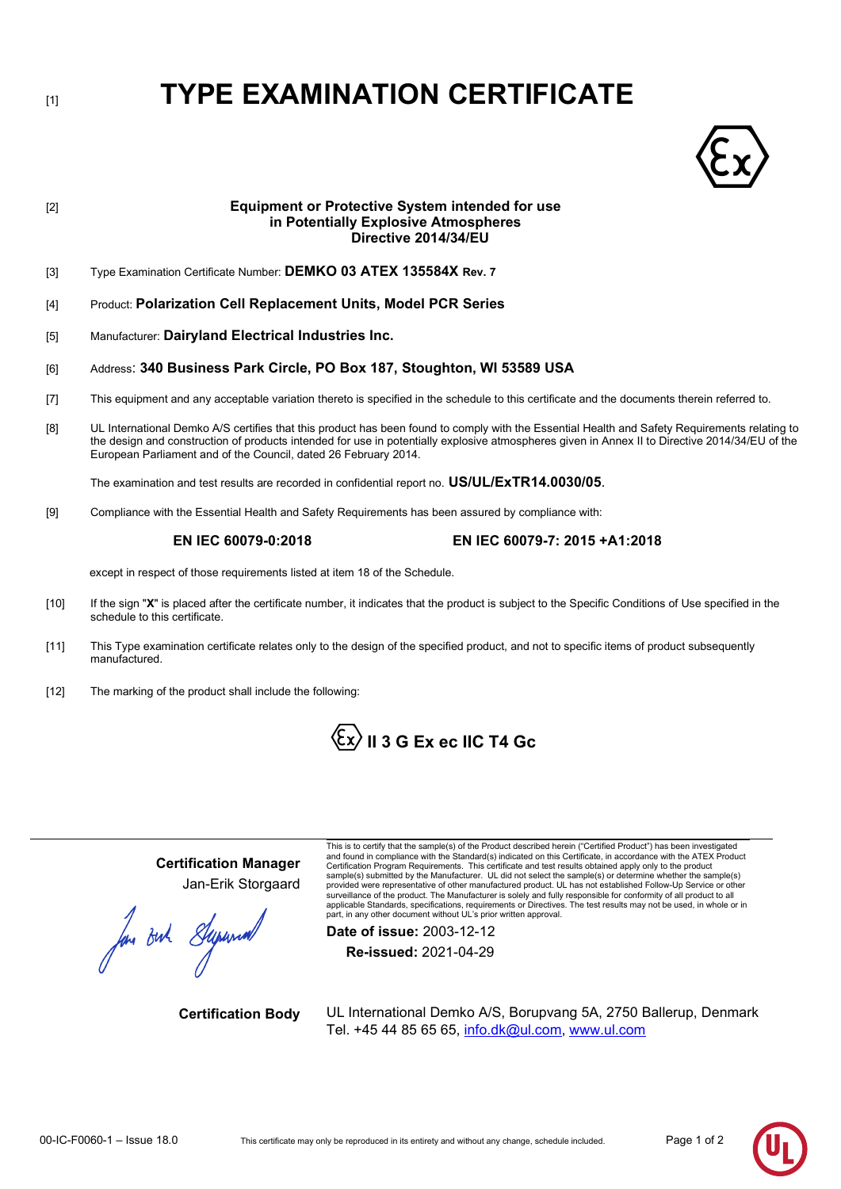# **TYPE EXAMINATION CERTIFICATE**



# [2] **Equipment or Protective System intended for use in Potentially Explosive Atmospheres Directive 2014/34/EU** [3] Type Examination Certificate Number: **DEMKO 03 ATEX 135584X Rev. 7** [4] Product: **Polarization Cell Replacement Units, Model PCR Series** [5] Manufacturer: **Dairyland Electrical Industries Inc.** [6] Address: **340 Business Park Circle, PO Box 187, Stoughton, WI 53589 USA** [7] This equipment and any acceptable variation thereto is specified in the schedule to this certificate and the documents therein referred to. [8] UL International Demko A/S certifies that this product has been found to comply with the Essential Health and Safety Requirements relating to the design and construction of products intended for use in potentially explosive atmospheres given in Annex II to Directive 2014/34/EU of the European Parliament and of the Council, dated 26 February 2014. The examination and test results are recorded in confidential report no. **US/UL/ExTR14.0030/05**. [9] Compliance with the Essential Health and Safety Requirements has been assured by compliance with: **EN IEC 60079-0:2018 EN IEC 60079-7: 2015 +A1:2018** except in respect of those requirements listed at item 18 of the Schedule. [10] If the sign "**X**" is placed after the certificate number, it indicates that the product is subject to the Specific Conditions of Use specified in the schedule to this certificate.

- [11] This Type examination certificate relates only to the design of the specified product, and not to specific items of product subsequently manufactured.
- [12] The marking of the product shall include the following:



## **Certification Manager** Jan-Erik Storgaard

for out Superior

This is to certify that the sample(s) of the Product described herein ("Certified Product") has been investigated and found in compliance with the Standard(s) indicated on this Certificate, in accordance with the ATEX Product Certification Program Requirements. This certificate and test results obtained apply only to the product sample(s) submitted by the Manufacturer. UL did not select the sample(s) or determine whether the sample(s) provided were representative of other manufactured product. UL has not established Follow-Up Service or other surveillance of the product. The Manufacturer is solely and fully responsible for conformity of all product to all<br>applicable Standards, specifications, requirements or Directives. The test results may not be used, in whol part, in any other document without UL's prior written approval.

**Date of issue:** 2003-12-12 **Re-issued:** 2021-04-29

**Certification Body** UL International Demko A/S, Borupvang 5A, 2750 Ballerup, Denmark Tel. +45 44 85 65 65, info.dk@ul.com, [www.ul.com](http://www.ul.com/)